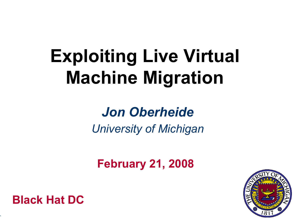## **Exploiting Live Virtual Machine Migration**

#### *Jon Oberheide University of Michigan*

**February 21, 2008**



**Black Hat DC**

-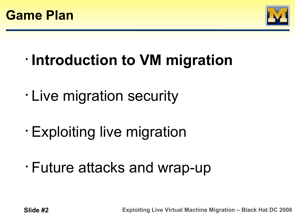



- **Introduction to VM migration**
- Live migration security
- Exploiting live migration
- Future attacks and wrap-up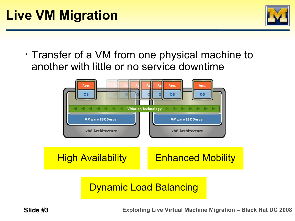

• Transfer of a VM from one physical machine to another with little or no service downtime



**High Availability** Enhanced Mobility

#### Dynamic Load Balancing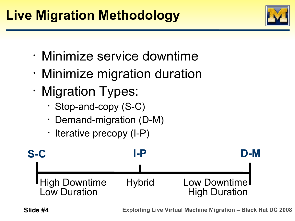#### **Live Migration Methodology**

- Minimize service downtime
- Minimize migration duration
- Migration Types:
	- Stop-and-copy (S-C)
	- Demand-migration (D-M)
	- Iterative precopy (I-P)

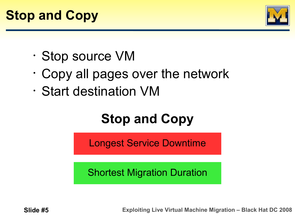

- Stop source VM
- Copy all pages over the network
- Start destination VM

### **Stop and Copy**

Longest Service Downtime

Shortest Migration Duration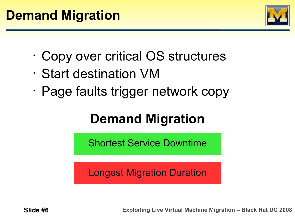

- Copy over critical OS structures
- Start destination VM
- Page faults trigger network copy

#### **Demand Migration**

Shortest Service Downtime

Longest Migration Duration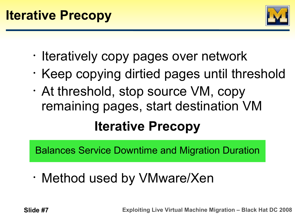

- Iteratively copy pages over network
- Keep copying dirtied pages until threshold
- At threshold, stop source VM, copy remaining pages, start destination VM **Iterative Precopy**

Balances Service Downtime and Migration Duration

• Method used by VMware/Xen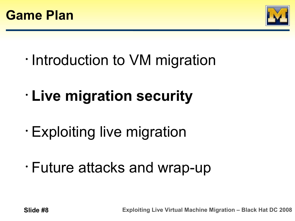



- Introduction to VM migration
- **Live migration security**
- Exploiting live migration
- Future attacks and wrap-up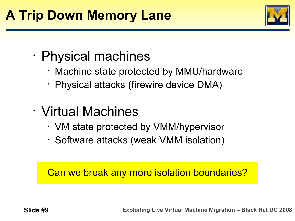#### **A Trip Down Memory Lane**



- Physical machines
	- Machine state protected by MMU/hardware
	- Physical attacks (firewire device DMA)
- Virtual Machines
	- VM state protected by VMM/hypervisor
	- Software attacks (weak VMM isolation)

Can we break any more isolation boundaries?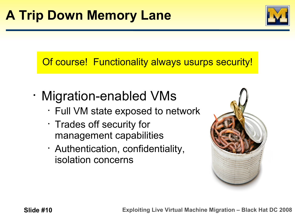

#### Of course! Functionality always usurps security!

- Migration-enabled VMs
	- Full VM state exposed to network
	- Trades off security for management capabilities
	- Authentication, confidentiality, isolation concerns

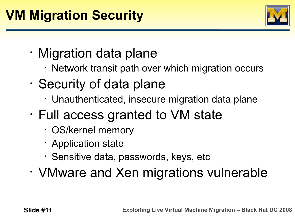

- Migration data plane
	- Network transit path over which migration occurs
- Security of data plane
	- Unauthenticated, insecure migration data plane
- Full access granted to VM state
	- OS/kernel memory
	- Application state
	- Sensitive data, passwords, keys, etc
- VMware and Xen migrations vulnerable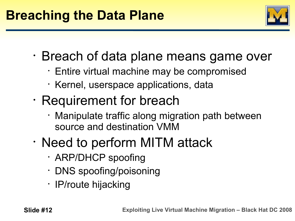

- Breach of data plane means game over
	- Entire virtual machine may be compromised
	- Kernel, userspace applications, data
- Requirement for breach
	- Manipulate traffic along migration path between source and destination VMM
- Need to perform MITM attack
	- ARP/DHCP spoofing
	- DNS spoofing/poisoning
	- IP/route hijacking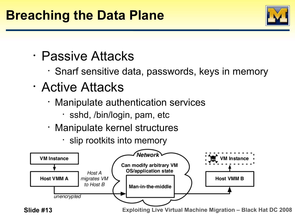

- Passive Attacks
	- Snarf sensitive data, passwords, keys in memory
- Active Attacks
	- Manipulate authentication services
		- sshd, /bin/login, pam, etc
	- Manipulate kernel structures
		- slip rootkits into memory

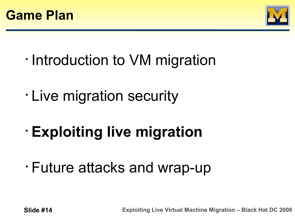



- Introduction to VM migration
- Live migration security
- **Exploiting live migration**
- Future attacks and wrap-up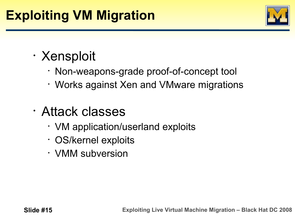#### **Exploiting VM Migration**



#### • Xensploit

- Non-weapons-grade proof-of-concept tool
- Works against Xen and VMware migrations
- Attack classes
	- VM application/userland exploits
	- OS/kernel exploits
	- VMM subversion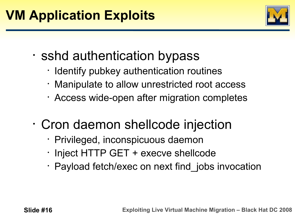

- sshd authentication bypass
	- Identify pubkey authentication routines
	- Manipulate to allow unrestricted root access
	- Access wide-open after migration completes
- Cron daemon shellcode injection
	- Privileged, inconspicuous daemon
	- Inject HTTP GET + execve shellcode
	- Payload fetch/exec on next find jobs invocation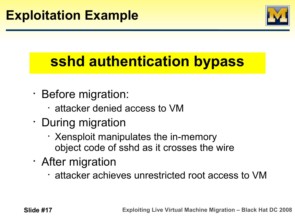

## **sshd authentication bypass**

- Before migration:
	- attacker denied access to VM
- During migration
	- Xensploit manipulates the in-memory object code of sshd as it crosses the wire
- After migration
	- attacker achieves unrestricted root access to VM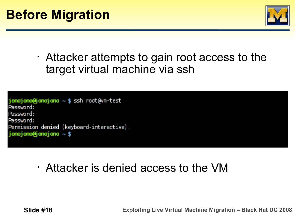

• Attacker attempts to gain root access to the target virtual machine via ssh

j**onojono@jonojono ~ \$** ssh root@vm-test Password: Password: Password: Permission denied (keyboard-interactive). jonojono@jonojono ~ \$

• Attacker is denied access to the VM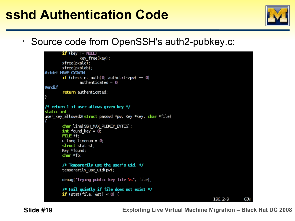#### **sshd Authentication Code**

• Source code from OpenSSH's auth2-pubkey.c:

```
if (key != NLLL)
                  key free(key);
         xfree(pkalg);
         xfree(pkblob);
#ifdef HAVE CYGNIN
         if (check nt auth(0, authctxt->pw) = 0)
                  \overline{\text{auth}} authenticated = 0;
#endif
         return authenticated;
/* return 1 if user allows given key */static int
user key allowed2(struct passwd *pw, Key *key, char *file)
         char line[SSH MAX PUBKEY BYTES];
         int found key = \theta;
         F\mathbf{ILE} *f;
         u long linenum = \theta;
         struct stat st;
         Key *found;
         char *fp;
         /* Temporarily use the user's uid. */
         temporarily use uid(pw);
         debug("trying public key file \frac{1}{5}", file);
         /* Fail quietly if file does not exist */
         if (\text{stat}(\text{file}, \text{dst}) < 0) {
                                                                                        196, 2-9
                                                                                                        63.
```
 **Slide #19 Exploiting Live Virtual Machine Migration – Black Hat DC 2008**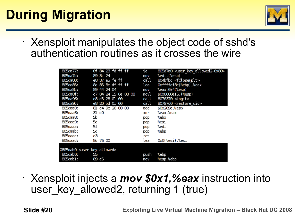#### **During Migration**



• Xensploit manipulates the object code of sshd's authentication routines as it crosses the wire

| 805da77:                                  | of 84 23 fd ff ff    | je.  | 805d7a0 <user_key_allowed2+0x80></user_key_allowed2+0x80> |
|-------------------------------------------|----------------------|------|-----------------------------------------------------------|
| 805da7d:                                  | 89 3c 24             | mov  | %edi,(%esp)                                               |
| 805da80                                   | e8 37 e5 fe ff       | call | 804bfbc <fclose@plt></fclose@plt>                         |
| 805da85:                                  | 8d 85 8c df ff ff    | lea  | Oxffffdf8c(%ebp),%eax                                     |
| 805da8b:                                  | 89 44 24 04          | mov  | %eax, 0x4(%esp)                                           |
| 805da8f:                                  | c7 04 24 15 0e 08 08 | movl | \$0x8080e15, (%esp)                                       |
| 805da96:                                  | e8 d5 28 01 00       | call | 8070370 <logit></logit>                                   |
| 805da9b:                                  | e8 20 bd 01 00       | call | 80797c0 <restore uid=""></restore>                        |
| 805daa0:                                  | 81 c4 9c 20 00 00    | add  | \$0x209c,%esp                                             |
| 805daa6:                                  | 31 c0                | xor  | %eax,%eax                                                 |
| 805daa8:                                  | 50                   | pop  | %ebx                                                      |
| 805daa9.                                  | -x.                  | pop  | %esi                                                      |
| 805daaa:                                  | 5f                   | pop  | %edi                                                      |
| 805daab:                                  | $\infty$             | pop  | %ebp                                                      |
| 805daac:                                  | cЗ                   | ret  |                                                           |
| 805daad:                                  | 8d 76 00             | lea  | OxO(%esi),%esi                                            |
|                                           |                      |      |                                                           |
| 0805dab0 <user allowed="" key="">:</user> |                      |      |                                                           |
| 805dab0:                                  | 55                   | push | %ebp                                                      |
| 805dabl:                                  | 89 e5                | mov  | %esp,%ebp                                                 |

• Xensploit injects a *mov \$0x1,%eax* instruction into user key allowed2, returning 1 (true)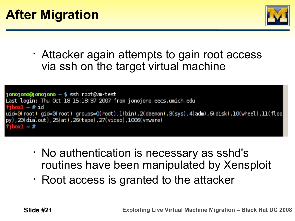

• Attacker again attempts to gain root access via ssh on the target virtual machine

```
jonojonojonojono ~ $ ssh root@vm-test
Last login: Thu Oct 18 15:18:37 2007 from jonojono.eecs.umich.edu
fibox1 - 71|uid=0(root) gid=0(root) groups=0(root),1(bin),2(daemon),3(sys),4(adm),6(disk),10(wheel),11(flop
py), 20(dialout), 25(at), 26(tape), 27(video), 1006(vmware)
  \text{and} \sim 2
```
- No authentication is necessary as sshd's routines have been manipulated by Xensploit
- Root access is granted to the attacker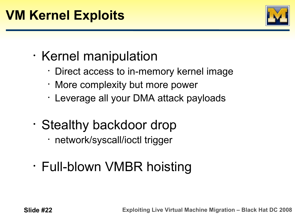

- Kernel manipulation
	- Direct access to in-memory kernel image
	- More complexity but more power
	- Leverage all your DMA attack payloads
- Stealthy backdoor drop
	- network/syscall/ioctl trigger
- Full-blown VMBR hoisting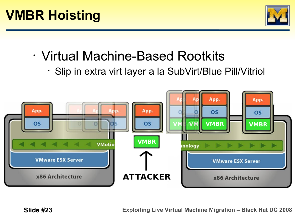

- Virtual Machine-Based Rootkits
	- Slip in extra virt layer a la SubVirt/Blue Pill/Vitriol

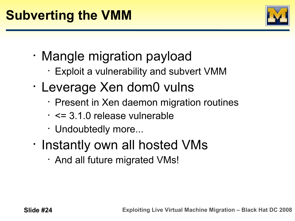

- Mangle migration payload
	- Exploit a vulnerability and subvert VMM
- Leverage Xen dom0 vulns
	- Present in Xen daemon migration routines
	- <= 3.1.0 release vulnerable
	- Undoubtedly more...
- Instantly own all hosted VMs
	- And all future migrated VMs!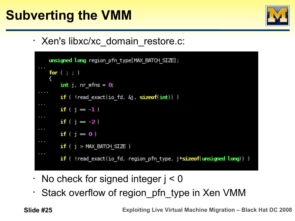#### **Subverting the VMM**



• Xen's libxc/xc\_domain\_restore.c:

```
unsigned long region pfn type[MAX BATCH SIZE];
    for ( ; ; )
         int j, nr mfns = 0,
\mathbf{r} , \mathbf{r} , \mathbf{r} , \mathbf{r}if ( !read exact(io fd, \delta_{\rm J}, sizeof(int)) )
\mathbf{0} , \mathbf{0} , \mathbf{0}if (j = 1)if (j = 2)if ( j = 0 )
         if (j > MAX BATCH SIZE)if ( !read_exact(io_fd, region_pfn_type, j*sizeof(unsigned long)) )
```
- $\cdot$  No check for signed integer  $j < 0$
- Stack overflow of region pfn type in Xen VMM

 **Slide #25 Exploiting Live Virtual Machine Migration – Black Hat DC 2008**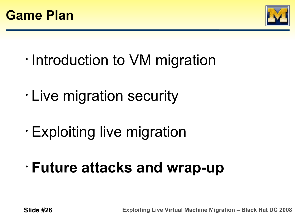



- Introduction to VM migration
- Live migration security
- Exploiting live migration
- **Future attacks and wrap-up**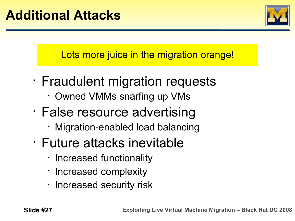

Lots more juice in the migration orange!

- Fraudulent migration requests
	- Owned VMMs snarfing up VMs
- False resource advertising
	- Migration-enabled load balancing
- Future attacks inevitable
	- Increased functionality
	- Increased complexity
	- Increased security risk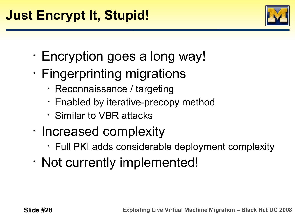

- Encryption goes a long way!
- Fingerprinting migrations
	- Reconnaissance / targeting
	- Enabled by iterative-precopy method
	- Similar to VBR attacks
- Increased complexity
	- Full PKI adds considerable deployment complexity
- Not currently implemented!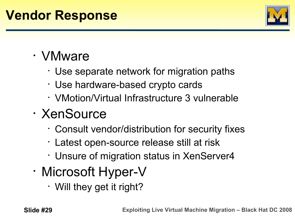#### **Vendor Response**



#### • VMware

- Use separate network for migration paths
- Use hardware-based crypto cards
- VMotion/Virtual Infrastructure 3 vulnerable
- XenSource
	- Consult vendor/distribution for security fixes
	- Latest open-source release still at risk
	- Unsure of migration status in XenServer4
- Microsoft Hyper-V
	- Will they get it right?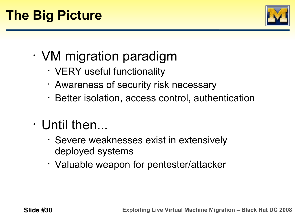

- VM migration paradigm
	- VERY useful functionality
	- Awareness of security risk necessary
	- Better isolation, access control, authentication
- Until then...
	- Severe weaknesses exist in extensively deployed systems
	- Valuable weapon for pentester/attacker